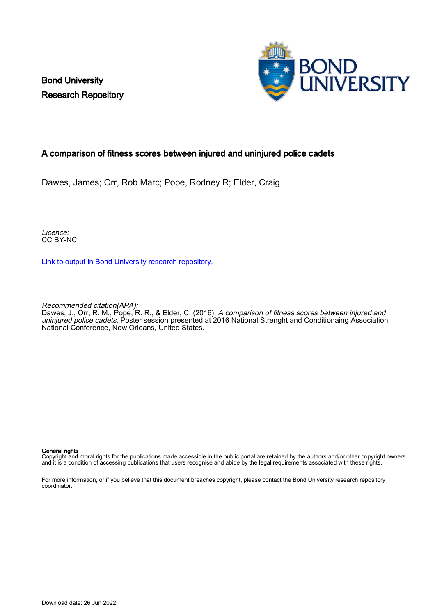Bond University Research Repository



### A comparison of fitness scores between injured and uninjured police cadets

Dawes, James; Orr, Rob Marc; Pope, Rodney R; Elder, Craig

Licence: CC BY-NC

[Link to output in Bond University research repository.](https://research.bond.edu.au/en/publications/c533245f-3d59-43d4-8604-55d815e297bf)

Recommended citation(APA):

Dawes, J., Orr, R. M., Pope, R. R., & Elder, C. (2016). A comparison of fitness scores between injured and uninjured police cadets. Poster session presented at 2016 National Strenght and Conditionaing Association National Conference, New Orleans, United States.

### General rights

Copyright and moral rights for the publications made accessible in the public portal are retained by the authors and/or other copyright owners and it is a condition of accessing publications that users recognise and abide by the legal requirements associated with these rights.

For more information, or if you believe that this document breaches copyright, please contact the Bond University research repository coordinator.